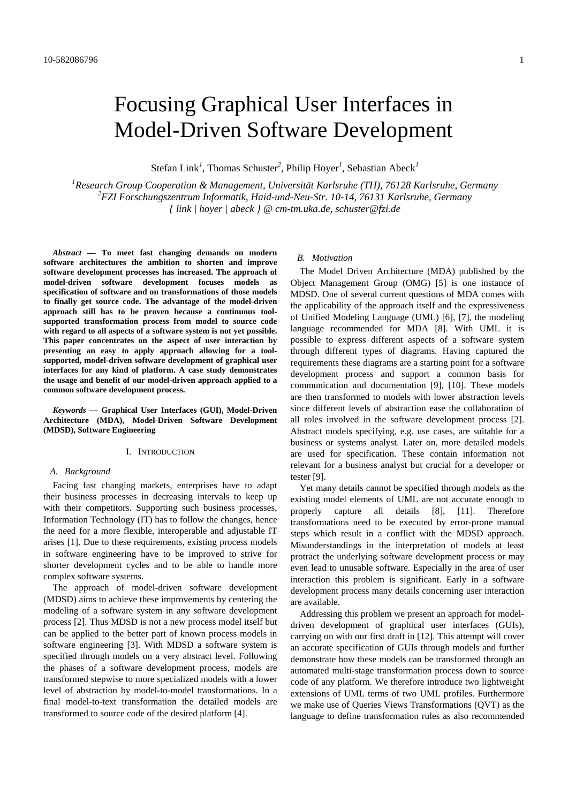# Focusing Graphical User Interfaces in Model-Driven Software Development

Stefan Link*<sup>1</sup>* , Thomas Schuster*<sup>2</sup>* , Philip Hoyer*<sup>1</sup>* , Sebastian Abeck*<sup>1</sup>*

*1 Research Group Cooperation & Management, Universität Karlsruhe (TH), 76128 Karlsruhe, Germany 2 FZI Forschungszentrum Informatik, Haid-und-Neu-Str. 10-14, 76131 Karlsruhe, Germany { link | hoyer | abeck } @ cm-tm.uka.de, schuster@fzi.de* 

*Abstract* **— To meet fast changing demands on modern software architectures the ambition to shorten and improve software development processes has increased. The approach of model-driven software development focuses models as specification of software and on transformations of those models to finally get source code. The advantage of the model-driven approach still has to be proven because a continuous toolsupported transformation process from model to source code with regard to all aspects of a software system is not yet possible. This paper concentrates on the aspect of user interaction by presenting an easy to apply approach allowing for a toolsupported, model-driven software development of graphical user interfaces for any kind of platform. A case study demonstrates the usage and benefit of our model-driven approach applied to a common software development process.** 

*Keywords* **— Graphical User Interfaces (GUI), Model-Driven Architecture (MDA), Model-Driven Software Development (MDSD), Software Engineering** 

#### I. INTRODUCTION

#### *A. Background*

Facing fast changing markets, enterprises have to adapt their business processes in decreasing intervals to keep up with their competitors. Supporting such business processes, Information Technology (IT) has to follow the changes, hence the need for a more flexible, interoperable and adjustable IT arises [1]. Due to these requirements, existing process models in software engineering have to be improved to strive for shorter development cycles and to be able to handle more complex software systems.

The approach of model-driven software development (MDSD) aims to achieve these improvements by centering the modeling of a software system in any software development process [2]. Thus MDSD is not a new process model itself but can be applied to the better part of known process models in software engineering [3]. With MDSD a software system is specified through models on a very abstract level. Following the phases of a software development process, models are transformed stepwise to more specialized models with a lower level of abstraction by model-to-model transformations. In a final model-to-text transformation the detailed models are transformed to source code of the desired platform [4].

#### *B. Motivation*

The Model Driven Architecture (MDA) published by the Object Management Group (OMG) [5] is one instance of MDSD. One of several current questions of MDA comes with the applicability of the approach itself and the expressiveness of Unified Modeling Language (UML) [6], [7], the modeling language recommended for MDA [8]. With UML it is possible to express different aspects of a software system through different types of diagrams. Having captured the requirements these diagrams are a starting point for a software development process and support a common basis for communication and documentation [9], [10]. These models are then transformed to models with lower abstraction levels since different levels of abstraction ease the collaboration of all roles involved in the software development process [2]. Abstract models specifying, e.g. use cases, are suitable for a business or systems analyst. Later on, more detailed models are used for specification. These contain information not relevant for a business analyst but crucial for a developer or tester [9].

Yet many details cannot be specified through models as the existing model elements of UML are not accurate enough to properly capture all details [8], [11]. Therefore transformations need to be executed by error-prone manual steps which result in a conflict with the MDSD approach. Misunderstandings in the interpretation of models at least protract the underlying software development process or may even lead to unusable software. Especially in the area of user interaction this problem is significant. Early in a software development process many details concerning user interaction are available.

Addressing this problem we present an approach for modeldriven development of graphical user interfaces (GUIs), carrying on with our first draft in [12]. This attempt will cover an accurate specification of GUIs through models and further demonstrate how these models can be transformed through an automated multi-stage transformation process down to source code of any platform. We therefore introduce two lightweight extensions of UML terms of two UML profiles. Furthermore we make use of Queries Views Transformations (QVT) as the language to define transformation rules as also recommended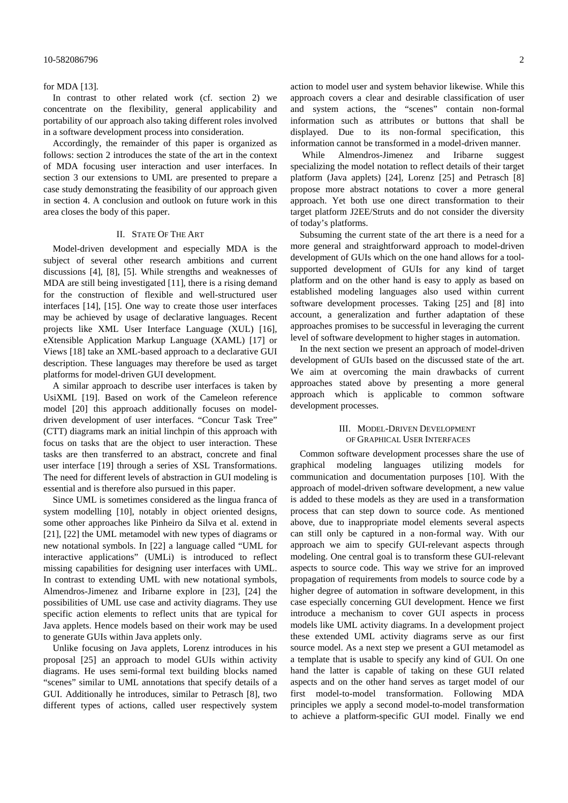#### 10-582086796 2

#### for MDA [13].

In contrast to other related work (cf. section 2) we concentrate on the flexibility, general applicability and portability of our approach also taking different roles involved in a software development process into consideration.

Accordingly, the remainder of this paper is organized as follows: section 2 introduces the state of the art in the context of MDA focusing user interaction and user interfaces. In section 3 our extensions to UML are presented to prepare a case study demonstrating the feasibility of our approach given in section 4. A conclusion and outlook on future work in this area closes the body of this paper.

### II. STATE OF THE ART

Model-driven development and especially MDA is the subject of several other research ambitions and current discussions [4], [8], [5]. While strengths and weaknesses of MDA are still being investigated [11], there is a rising demand for the construction of flexible and well-structured user interfaces [14], [15]. One way to create those user interfaces may be achieved by usage of declarative languages. Recent projects like XML User Interface Language (XUL) [16], eXtensible Application Markup Language (XAML) [17] or Views [18] take an XML-based approach to a declarative GUI description. These languages may therefore be used as target platforms for model-driven GUI development.

A similar approach to describe user interfaces is taken by UsiXML [19]. Based on work of the Cameleon reference model [20] this approach additionally focuses on modeldriven development of user interfaces. "Concur Task Tree" (CTT) diagrams mark an initial linchpin of this approach with focus on tasks that are the object to user interaction. These tasks are then transferred to an abstract, concrete and final user interface [19] through a series of XSL Transformations. The need for different levels of abstraction in GUI modeling is essential and is therefore also pursued in this paper.

Since UML is sometimes considered as the lingua franca of system modelling [10], notably in object oriented designs, some other approaches like Pinheiro da Silva et al. extend in [21], [22] the UML metamodel with new types of diagrams or new notational symbols. In [22] a language called "UML for interactive applications" (UMLi) is introduced to reflect missing capabilities for designing user interfaces with UML. In contrast to extending UML with new notational symbols, Almendros-Jimenez and Iribarne explore in [23], [24] the possibilities of UML use case and activity diagrams. They use specific action elements to reflect units that are typical for Java applets. Hence models based on their work may be used to generate GUIs within Java applets only.

Unlike focusing on Java applets, Lorenz introduces in his proposal [25] an approach to model GUIs within activity diagrams. He uses semi-formal text building blocks named "scenes" similar to UML annotations that specify details of a GUI. Additionally he introduces, similar to Petrasch [8], two different types of actions, called user respectively system action to model user and system behavior likewise. While this approach covers a clear and desirable classification of user and system actions, the "scenes" contain non-formal information such as attributes or buttons that shall be displayed. Due to its non-formal specification, this information cannot be transformed in a model-driven manner.

 While Almendros-Jimenez and Iribarne suggest specializing the model notation to reflect details of their target platform (Java applets) [24], Lorenz [25] and Petrasch [8] propose more abstract notations to cover a more general approach. Yet both use one direct transformation to their target platform J2EE/Struts and do not consider the diversity of today's platforms.

Subsuming the current state of the art there is a need for a more general and straightforward approach to model-driven development of GUIs which on the one hand allows for a toolsupported development of GUIs for any kind of target platform and on the other hand is easy to apply as based on established modeling languages also used within current software development processes. Taking [25] and [8] into account, a generalization and further adaptation of these approaches promises to be successful in leveraging the current level of software development to higher stages in automation.

In the next section we present an approach of model-driven development of GUIs based on the discussed state of the art. We aim at overcoming the main drawbacks of current approaches stated above by presenting a more general approach which is applicable to common software development processes.

## III. MODEL-DRIVEN DEVELOPMENT OF GRAPHICAL USER INTERFACES

Common software development processes share the use of graphical modeling languages utilizing models for communication and documentation purposes [10]. With the approach of model-driven software development, a new value is added to these models as they are used in a transformation process that can step down to source code. As mentioned above, due to inappropriate model elements several aspects can still only be captured in a non-formal way. With our approach we aim to specify GUI-relevant aspects through modeling. One central goal is to transform these GUI-relevant aspects to source code. This way we strive for an improved propagation of requirements from models to source code by a higher degree of automation in software development, in this case especially concerning GUI development. Hence we first introduce a mechanism to cover GUI aspects in process models like UML activity diagrams. In a development project these extended UML activity diagrams serve as our first source model. As a next step we present a GUI metamodel as a template that is usable to specify any kind of GUI. On one hand the latter is capable of taking on these GUI related aspects and on the other hand serves as target model of our first model-to-model transformation. Following MDA principles we apply a second model-to-model transformation to achieve a platform-specific GUI model. Finally we end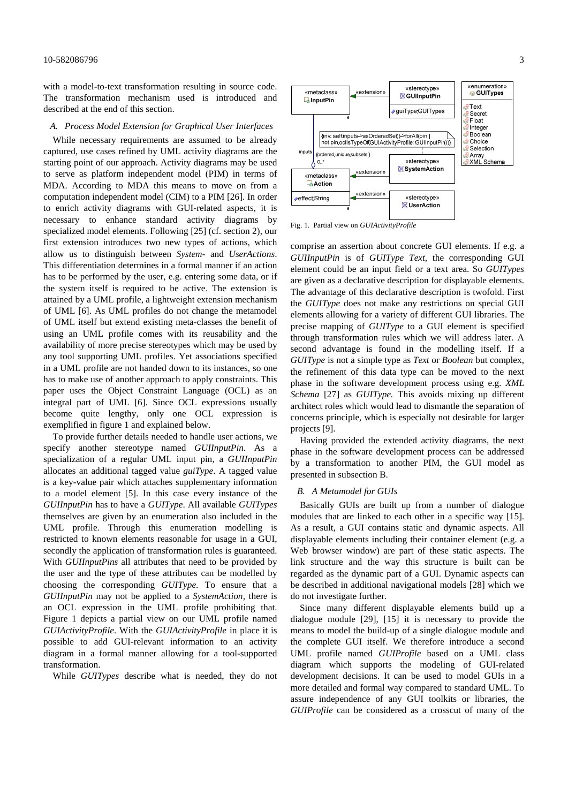#### 10-582086796 3

with a model-to-text transformation resulting in source code. The transformation mechanism used is introduced and described at the end of this section.

#### *A. Process Model Extension for Graphical User Interfaces*

While necessary requirements are assumed to be already captured, use cases refined by UML activity diagrams are the starting point of our approach. Activity diagrams may be used to serve as platform independent model (PIM) in terms of MDA. According to MDA this means to move on from a computation independent model (CIM) to a PIM [26]. In order to enrich activity diagrams with GUI-related aspects, it is necessary to enhance standard activity diagrams by specialized model elements. Following [25] (cf. section 2), our first extension introduces two new types of actions, which allow us to distinguish between *System-* and *UserActions*. This differentiation determines in a formal manner if an action has to be performed by the user, e.g. entering some data, or if the system itself is required to be active. The extension is attained by a UML profile, a lightweight extension mechanism of UML [6]. As UML profiles do not change the metamodel of UML itself but extend existing meta-classes the benefit of using an UML profile comes with its reusability and the availability of more precise stereotypes which may be used by any tool supporting UML profiles. Yet associations specified in a UML profile are not handed down to its instances, so one has to make use of another approach to apply constraints. This paper uses the Object Constraint Language (OCL) as an integral part of UML [6]. Since OCL expressions usually become quite lengthy, only one OCL expression is exemplified in figure 1 and explained below.

To provide further details needed to handle user actions, we specify another stereotype named *GUIInputPin*. As a specialization of a regular UML input pin, a *GUIInputPin* allocates an additional tagged value *guiType*. A tagged value is a key-value pair which attaches supplementary information to a model element [5]. In this case every instance of the *GUIInputPin* has to have a *GUIType*. All available *GUITypes* themselves are given by an enumeration also included in the UML profile. Through this enumeration modelling is restricted to known elements reasonable for usage in a GUI, secondly the application of transformation rules is guaranteed. With *GUIInputPins* all attributes that need to be provided by the user and the type of these attributes can be modelled by choosing the corresponding *GUIType*. To ensure that a *GUIInputPin* may not be applied to a *SystemAction,* there is an OCL expression in the UML profile prohibiting that. Figure 1 depicts a partial view on our UML profile named *GUIActivityProfile*. With the *GUIActivityProfile* in place it is possible to add GUI-relevant information to an activity diagram in a formal manner allowing for a tool-supported transformation.

While *GUITypes* describe what is needed, they do not



Fig. 1. Partial view on *GUIActivityProfile* 

comprise an assertion about concrete GUI elements. If e.g. a *GUIInputPin* is of *GUIType Text*, the corresponding GUI element could be an input field or a text area. So *GUITypes* are given as a declarative description for displayable elements. The advantage of this declarative description is twofold. First the *GUIType* does not make any restrictions on special GUI elements allowing for a variety of different GUI libraries. The precise mapping of *GUIType* to a GUI element is specified through transformation rules which we will address later. A second advantage is found in the modelling itself. If a *GUIType* is not a simple type as *Text* or *Boolean* but complex, the refinement of this data type can be moved to the next phase in the software development process using e.g. *XML Schema* [27] as *GUIType.* This avoids mixing up different architect roles which would lead to dismantle the separation of concerns principle, which is especially not desirable for larger projects [9].

Having provided the extended activity diagrams, the next phase in the software development process can be addressed by a transformation to another PIM, the GUI model as presented in subsection B.

#### *B. A Metamodel for GUIs*

Basically GUIs are built up from a number of dialogue modules that are linked to each other in a specific way [15]. As a result, a GUI contains static and dynamic aspects. All displayable elements including their container element (e.g. a Web browser window) are part of these static aspects. The link structure and the way this structure is built can be regarded as the dynamic part of a GUI. Dynamic aspects can be described in additional navigational models [28] which we do not investigate further.

Since many different displayable elements build up a dialogue module [29], [15] it is necessary to provide the means to model the build-up of a single dialogue module and the complete GUI itself. We therefore introduce a second UML profile named *GUIProfile* based on a UML class diagram which supports the modeling of GUI-related development decisions. It can be used to model GUIs in a more detailed and formal way compared to standard UML. To assure independence of any GUI toolkits or libraries, the *GUIProfile* can be considered as a crosscut of many of the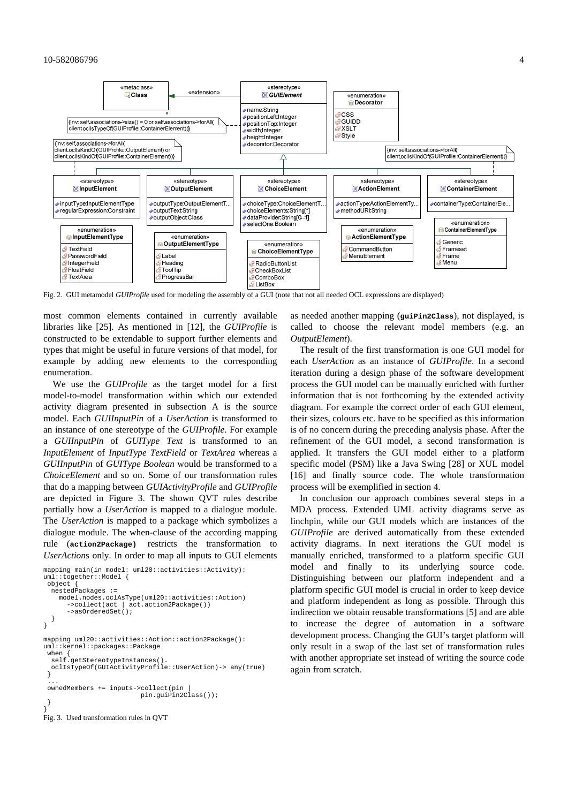

Fig. 2. GUI metamodel *GUIProfile* used for modeling the assembly of a GUI (note that not all needed OCL expressions are displayed)

most common elements contained in currently available libraries like [25]. As mentioned in [12], the *GUIProfile* is constructed to be extendable to support further elements and types that might be useful in future versions of that model, for example by adding new elements to the corresponding enumeration.

We use the *GUIProfile* as the target model for a first model-to-model transformation within which our extended activity diagram presented in subsection A is the source model. Each *GUIInputPin* of a *UserAction* is transformed to an instance of one stereotype of the *GUIProfile*. For example a *GUIInputPin* of *GUIType Text* is transformed to an *InputElement* of *InputType TextField* or *TextArea* whereas a *GUIInputPin* of *GUIType Boolean* would be transformed to a *ChoiceElement* and so on. Some of our transformation rules that do a mapping between *GUIActivityProfile* and *GUIProfile* are depicted in Figure 3. The shown QVT rules describe partially how a *UserAction* is mapped to a dialogue module. The *UserAction* is mapped to a package which symbolizes a dialogue module. The when-clause of the according mapping rule (**action2Package)** restricts the transformation to *UserAction*s only. In order to map all inputs to GUI elements

```
mapping main(in model: uml20::activities::Activity): 
uml::together::Model { 
  object { 
   nestedPackages := 
     model.nodes.oclAsType(uml20::activities::Action) 
        ->collect(act | act.action2Package()) 
       ->asOrderedSet(); 
   } 
} 
mapping uml20::activities::Action::action2Package(): 
uml::kernel::packages::Package 
 when {<br>self.
       、<br>.getStereotypeInstances(
   oclIsTypeOf(GUIActivityProfile::UserAction)-> any(true) 
  } 
 ... 
  ownedMembers += inputs->collect(pin | 
                             pin.guiPin2Class()); 
  } 
} 
Fig. 3. Used transformation rules in QVT
```
as needed another mapping (**guiPin2Class**), not displayed, is called to choose the relevant model members (e.g. an *OutputElement*).

The result of the first transformation is one GUI model for each *UserAction* as an instance of *GUIProfile*. In a second iteration during a design phase of the software development process the GUI model can be manually enriched with further information that is not forthcoming by the extended activity diagram. For example the correct order of each GUI element, their sizes, colours etc. have to be specified as this information is of no concern during the preceding analysis phase. After the refinement of the GUI model, a second transformation is applied. It transfers the GUI model either to a platform specific model (PSM) like a Java Swing [28] or XUL model [16] and finally source code. The whole transformation process will be exemplified in section 4.

In conclusion our approach combines several steps in a MDA process. Extended UML activity diagrams serve as linchpin, while our GUI models which are instances of the *GUIProfile* are derived automatically from these extended activity diagrams. In next iterations the GUI model is manually enriched, transformed to a platform specific GUI model and finally to its underlying source code. Distinguishing between our platform independent and a platform specific GUI model is crucial in order to keep device and platform independent as long as possible. Through this indirection we obtain reusable transformations [5] and are able to increase the degree of automation in a software development process. Changing the GUI's target platform will only result in a swap of the last set of transformation rules with another appropriate set instead of writing the source code again from scratch.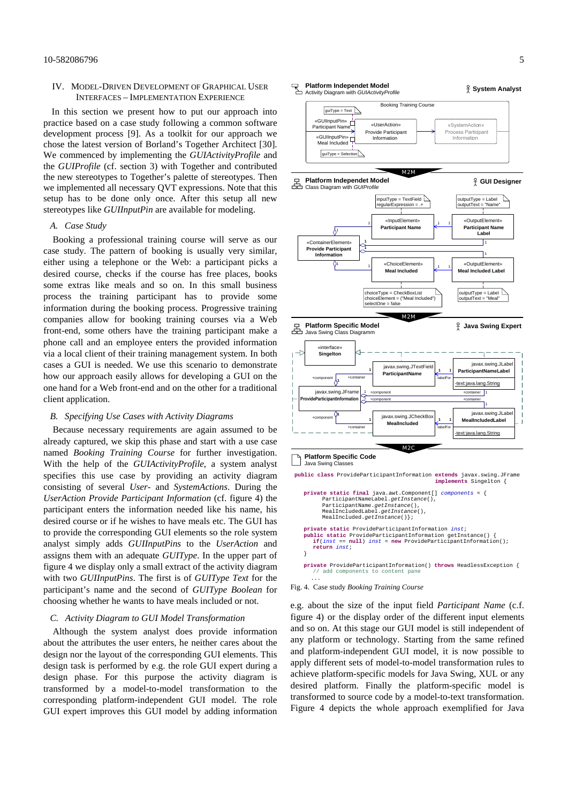#### IV. MODEL-DRIVEN DEVELOPMENT OF GRAPHICAL USER INTERFACES – IMPLEMENTATION EXPERIENCE

In this section we present how to put our approach into practice based on a case study following a common software development process [9]. As a toolkit for our approach we chose the latest version of Borland's Together Architect [30]. We commenced by implementing the *GUIActivityProfile* and the *GUIProfile* (cf. section 3) with Together and contributed the new stereotypes to Together's palette of stereotypes. Then we implemented all necessary QVT expressions. Note that this setup has to be done only once. After this setup all new stereotypes like *GUIInputPin* are available for modeling.

#### *A. Case Study*

Booking a professional training course will serve as our case study. The pattern of booking is usually very similar, either using a telephone or the Web: a participant picks a desired course, checks if the course has free places, books some extras like meals and so on. In this small business process the training participant has to provide some information during the booking process. Progressive training companies allow for booking training courses via a Web front-end, some others have the training participant make a phone call and an employee enters the provided information via a local client of their training management system. In both cases a GUI is needed. We use this scenario to demonstrate how our approach easily allows for developing a GUI on the one hand for a Web front-end and on the other for a traditional client application.

### *B. Specifying Use Cases with Activity Diagrams*

Because necessary requirements are again assumed to be already captured, we skip this phase and start with a use case named *Booking Training Course* for further investigation. With the help of the *GUIActivityProfile*, a system analyst specifies this use case by providing an activity diagram consisting of several *User-* and *SystemActions*. During the *UserAction Provide Participant Information* (cf. figure 4) the participant enters the information needed like his name, his desired course or if he wishes to have meals etc. The GUI has to provide the corresponding GUI elements so the role system analyst simply adds *GUIInputPins* to the *UserAction* and assigns them with an adequate *GUIType*. In the upper part of figure 4 we display only a small extract of the activity diagram with two *GUIInputPins*. The first is of *GUIType Text* for the participant's name and the second of *GUIType Boolean* for choosing whether he wants to have meals included or not.

#### *C. Activity Diagram to GUI Model Transformation*

Although the system analyst does provide information about the attributes the user enters, he neither cares about the design nor the layout of the corresponding GUI elements. This design task is performed by e.g. the role GUI expert during a design phase. For this purpose the activity diagram is transformed by a model-to-model transformation to the corresponding platform-independent GUI model. The role GUI expert improves this GUI model by adding information



Fig. 4. Case study *Booking Training Course*

...

e.g. about the size of the input field *Participant Name* (c.f. figure 4) or the display order of the different input elements and so on. At this stage our GUI model is still independent of any platform or technology. Starting from the same refined and platform-independent GUI model, it is now possible to apply different sets of model-to-model transformation rules to achieve platform-specific models for Java Swing, XUL or any desired platform. Finally the platform-specific model is transformed to source code by a model-to-text transformation. Figure 4 depicts the whole approach exemplified for Java